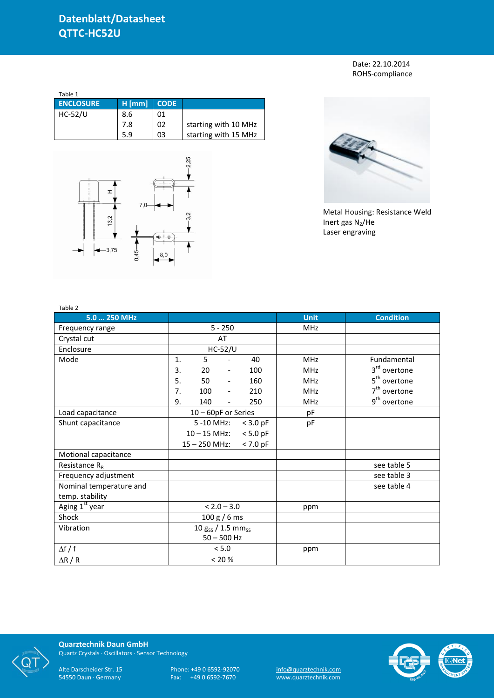Date: 22.10.2014 ROHS-compliance

| Table 1          |          |             |                      |
|------------------|----------|-------------|----------------------|
| <b>ENCLOSURE</b> | $H$ [mm] | <b>CODE</b> |                      |
| <b>HC-52/U</b>   | 8.6      | 01          |                      |
|                  | 7.8      | 02          | starting with 10 MHz |
|                  | 5.9      | 03          | starting with 15 MHz |





Metal Housing: Resistance Weld Inert gas  $N_2$ /He Laser engraving

| Table 2                 |                                    |     |                              |     |             |                          |
|-------------------------|------------------------------------|-----|------------------------------|-----|-------------|--------------------------|
| 5.0  250 MHz            |                                    |     |                              |     | <b>Unit</b> | <b>Condition</b>         |
| Frequency range         | $5 - 250$                          |     |                              |     | MHz         |                          |
| Crystal cut             |                                    |     | AT                           |     |             |                          |
| Enclosure               |                                    |     | $HC-52/U$                    |     |             |                          |
| Mode                    | 1.                                 | 5   |                              | 40  | <b>MHz</b>  | Fundamental              |
|                         | 3.                                 | 20  | $\qquad \qquad \blacksquare$ | 100 | MHz         | 3 <sup>rd</sup> overtone |
|                         | 5.                                 | 50  | $\overline{\phantom{a}}$     | 160 | <b>MHz</b>  | 5 <sup>th</sup> overtone |
|                         | 7.                                 | 100 | $\frac{1}{2}$                | 210 | <b>MHz</b>  | $7th$ overtone           |
|                         | 9.                                 | 140 | $\overline{\phantom{0}}$     | 250 | <b>MHz</b>  | 9 <sup>th</sup> overtone |
| Load capacitance        | $10 - 60pF$ or Series              |     |                              |     | pF          |                          |
| Shunt capacitance       | 5 -10 MHz:<br>$<$ 3.0 pF           |     | pF                           |     |             |                          |
|                         | $10 - 15$ MHz:<br>$< 5.0$ pF       |     |                              |     |             |                          |
|                         | $15 - 250$ MHz:<br>$< 7.0$ pF      |     |                              |     |             |                          |
| Motional capacitance    |                                    |     |                              |     |             |                          |
| Resistance $R_R$        |                                    |     |                              |     |             | see table 5              |
| Frequency adjustment    |                                    |     |                              |     |             | see table 3              |
| Nominal temperature and |                                    |     |                              |     |             | see table 4              |
| temp. stability         |                                    |     |                              |     |             |                          |
| Aging 1st year          | $< 2.0 - 3.0$                      |     | ppm                          |     |             |                          |
| Shock                   | 100 g / 6 ms                       |     |                              |     |             |                          |
| Vibration               | 10 $g_{SS}$ / 1.5 mm <sub>ss</sub> |     |                              |     |             |                          |
|                         | $50 - 500$ Hz                      |     |                              |     |             |                          |
| $\Delta f / f$          | < 5.0                              |     |                              |     | ppm         |                          |
| $\Delta$ R / R          | < 20 %                             |     |                              |     |             |                          |



**Quarztechnik Daun GmbH** Quartz Crystals · Oscillators · Sensor Technology

Alte Darscheider Str. 15 Phone: +49 0 6592-92070 <u>info@quarztechnik.com</u>

54550 Daun · Germany Fax: +49 0 6592-7670 www.quarztechnik.com